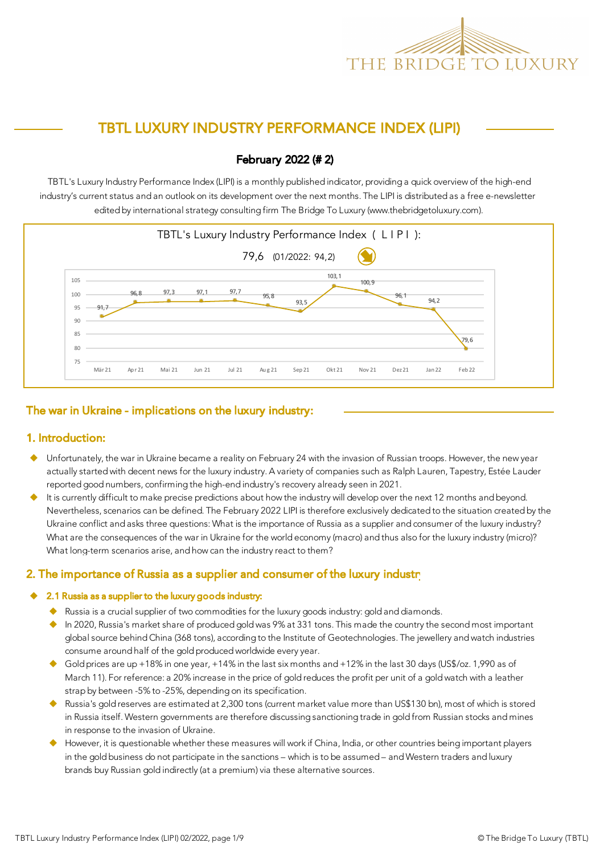

# TBTL LUXURY INDUSTRY PERFORMANCE INDEX (LIPI)

## February 2022 (# 2)

TBTL's Luxury Industry Performance Index (LIPI) is a monthly published indicator, providing a quick overview of the high-end industry's current status and an outlook on its development over the next months. The LIPI is distributed as a free e-newsletter edited by international strategy consulting firm The Bridge To Luxury (www.thebridgetoluxury.com).



### The war in Ukraine - implications on the luxury industry:

#### 1. Introduction:

- $\blacklozenge$ Unfortunately, the war in Ukraine became a reality on February 24 with the invasion of Russian troops. However, the new year actually started with decent news for the luxury industry. A variety of companies such as Ralph Lauren, Tapestry, Estée Lauder reported good numbers, confirming the high-end industry's recovery already seen in 2021.
- $\blacklozenge$ It is currently difficult to make precise predictions about how the industry will develop over the next 12 months and beyond. Nevertheless, scenarios can be defined. The February 2022 LIPI is therefore exclusively dedicated to the situation created by the Ukraine conflict and asks three questions: What is the importance of Russia as a supplier and consumer of the luxury industry? What are the consequences of the war in Ukraine for the world economy (macro) and thus also for the luxury industry (micro)? What long-term scenarios arise, and how can the industry react to them?

### 2. The importance of Russia as a supplier and consumer of the luxury industry

#### 2.1 Russia as a supplier to the luxury goods industry:

- Russia is a crucial supplier of two commodities for the luxury goods industry: gold and diamonds.
- ◆ In 2020, Russia's market share of produced gold was 9% at 331 tons. This made the country the second most important global source behind China (368 tons), according to the Institute of Geotechnologies. The jewellery and watch industries consume around half of the gold produced worldwide every year.
- $\blacklozenge$ Gold prices are up +18% in one year, +14% in the last six months and +12% in the last 30 days (US\$/oz. 1,990 as of March 11). For reference: a 20% increase in the price of gold reduces the profit per unit of a gold watch with a leather strap by between -5% to -25%, depending on its specification.
- $\blacklozenge$ Russia's gold reserves are estimated at 2,300 tons (current market value more than US\$130 bn), most of which is stored in Russia itself. Western governments are therefore discussing sanctioning trade in gold from Russian stocks and mines in response to the invasion of Ukraine.
- $\blacklozenge$ However, it is questionable whether these measures will work if China, India, or other countries being important players in the gold business do not participate in the sanctions – which is to be assumed – and Western traders and luxury brands buy Russian gold indirectly (at a premium) via these alternative sources.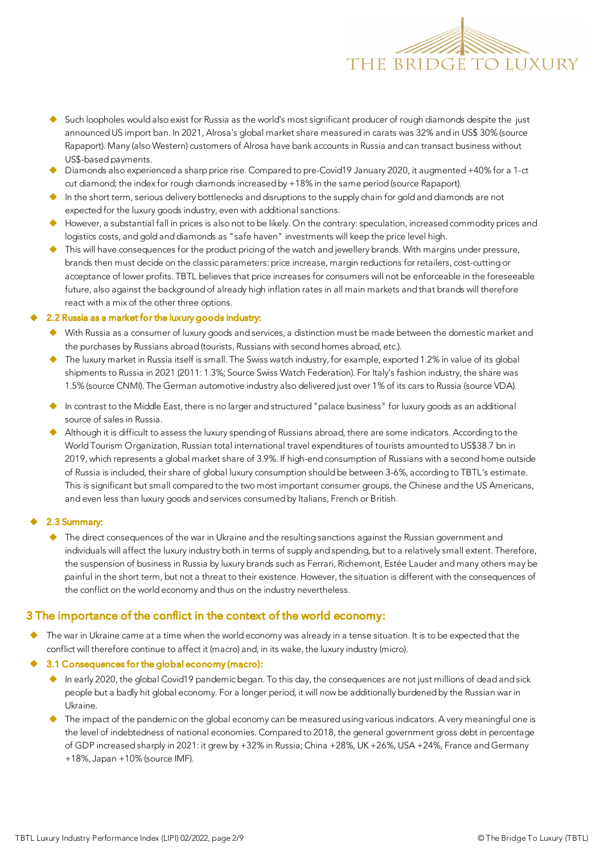

- $\blacklozenge$ Such loopholes would also exist for Russia as the world's most significant producer of rough diamonds despite the just announced US import ban. In 2021, Alrosa's global market share measured in carats was 32% and in US\$ 30% (source Rapaport). Many (also Western) customers of Alrosa have bank accounts in Russia and can transact business without US\$-based payments.
- $\blacklozenge$ Diamonds also experienced a sharp price rise. Compared to pre-Covid19 January 2020, it augmented +40% for a 1-ct cut diamond; the index for rough diamonds increased by +18% in the same period (source Rapaport).
- $\blacklozenge$ In the short term, serious delivery bottlenecks and disruptions to the supply chain for gold and diamonds are not expected for the luxury goods industry, even with additional sanctions.
- $\blacklozenge$ However, a substantial fall in prices is also not to be likely. On the contrary: speculation, increased commodity prices and logistics costs, and gold and diamonds as "safe haven" investments will keep the price level high.
- $\blacklozenge$ This will have consequences for the product pricing of the watch and jewellery brands. With margins under pressure, brands then must decide on the classic parameters: price increase, margin reductions for retailers, cost-cutting or acceptance of lower profits. TBTL believes that price increases for consumers will not be enforceable in the foreseeable future, also against the background of already high inflation rates in all main markets and that brands will therefore react with a mix of the other three options.

#### 2.2 Russia as a market for the luxury goods industry:

- u With Russia as a consumer of luxury goods and services, a distinction must be made between the domestic market and the purchases by Russians abroad (tourists, Russians with second homes abroad, etc.).
- $\blacklozenge$  The luxury market in Russia itself is small. The Swiss watch industry, for example, exported 1.2% in value of its global shipments to Russia in 2021 (2011: 1.3%; Source Swiss Watch Federation). For Italy's fashion industry, the share was 1.5% (source CNMI). The German automotive industry also delivered just over 1% of its cars to Russia (source VDA).
- $\blacklozenge$ In contrast to the Middle East, there is no larger and structured "palace business" for luxury goods as an additional source of sales in Russia.
- $\blacklozenge$ Although it is difficult to assess the luxury spending of Russians abroad, there are some indicators. According to the World Tourism Organization, Russian total international travel expenditures of tourists amounted to US\$38.7 bn in 2019, which represents a global market share of 3.9%. If high-end consumption of Russians with a second home outside of Russia is included, their share of global luxury consumption should be between 3-6%, according to TBTL's estimate. This is significant but small compared to the two most important consumer groups, the Chinese and the US Americans, and even less than luxury goods and services consumed by Italians, French or British.

#### 2.3 Summary:

◆ The direct consequences of the war in Ukraine and the resulting sanctions against the Russian government and individuals will affect the luxury industry both in terms of supply and spending, but to a relatively small extent. Therefore, the suspension of business in Russia by luxury brands such as Ferrari, Richemont, Estée Lauder and many others may be painful in the short term, but not a threat to their existence. However, the situation is different with the consequences of the conflict on the world economy and thus on the industry nevertheless.

#### 3 The importance of the conflict in the context of the world economy:

- $\blacklozenge$ The war in Ukraine came at a time when the world economy was already in a tense situation. It is to be expected that the conflict will therefore continue to affect it (macro) and, in its wake, the luxury industry (micro).
- 3.1 Consequences for the global economy (macro):
	- $\blacklozenge$  In early 2020, the global Covid19 pandemic began. To this day, the consequences are not just millions of dead and sick people but a badly hit global economy. For a longer period, it will now be additionally burdened by the Russian war in Ukraine.
	- $\blacklozenge$ The impact of the pandemic on the global economy can be measured using various indicators. A very meaningful one is the level of indebtedness of national economies. Compared to 2018, the general government gross debt in percentage of GDP increased sharply in 2021: it grew by +32% in Russia; China +28%, UK +26%, USA +24%, France and Germany +18%, Japan +10% (source IMF).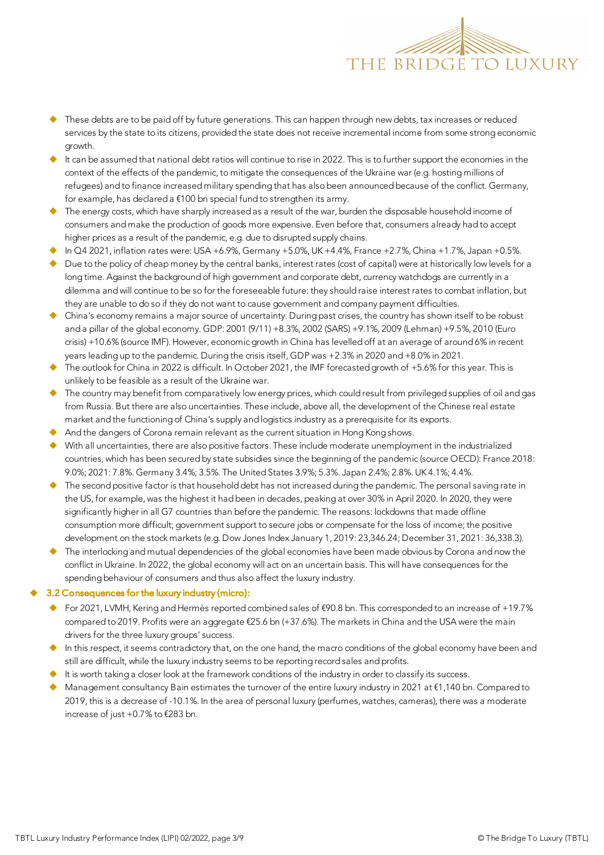

- $\blacklozenge$ These debts are to be paid off by future generations. This can happen through new debts, tax increases or reduced services by the state to its citizens, provided the state does not receive incremental income from some strong economic growth.
- $\blacklozenge$ It can be assumed that national debt ratios will continue to rise in 2022. This is to further support the economies in the context of the effects of the pandemic, to mitigate the consequences of the Ukraine war (e.g. hosting millions of refugees) and to finance increased military spending that has also been announced because of the conflict. Germany, for example, has declared a €100 bn special fund to strengthen its army.
- $\blacklozenge$ The energy costs, which have sharply increased as a result of the war, burden the disposable household income of consumers and make the production of goods more expensive. Even before that, consumers already had to accept higher prices as a result of the pandemic, e.g. due to disrupted supply chains.
- $\blacklozenge$ In Q4 2021, inflation rates were: USA +6.9%, Germany +5.0%, UK +4.4%, France +2.7%, China +1.7%, Japan +0.5%.
- $\blacklozenge$ Due to the policy of cheap money by the central banks, interest rates (cost of capital) were at historically low levels for a long time. Against the background of high government and corporate debt, currency watchdogs are currently in a dilemma and will continue to be so for the foreseeable future: they should raise interest rates to combat inflation, but they are unable to do so if they do not want to cause government and company payment difficulties.
- $\blacklozenge$ China's economy remains a major source of uncertainty. During past crises, the country has shown itself to be robust and a pillar of the global economy. GDP: 2001 (9/11) +8.3%, 2002 (SARS) +9.1%, 2009 (Lehman) +9.5%, 2010 (Euro crisis) +10.6% (source IMF). However, economic growth in China has levelled off at an average of around 6% in recent years leading up to the pandemic. During the crisis itself, GDP was +2.3% in 2020 and +8.0% in 2021.
- $\blacklozenge$ The outlook for China in 2022 is difficult. In October 2021, the IMF forecasted growth of +5.6% for this year. This is unlikely to be feasible as a result of the Ukraine war.
- $\blacklozenge$ The country may benefit from comparatively low energy prices, which could result from privileged supplies of oil and gas from Russia. But there are also uncertainties. These include, above all, the development of the Chinese real estate market and the functioning of China's supply and logistics industry as a prerequisite for its exports.
- $\blacklozenge$ And the dangers of Corona remain relevant as the current situation in Hong Kong shows.
- u With all uncertainties, there are also positive factors. These include moderate unemployment in the industrialized countries, which has been secured by state subsidies since the beginning of the pandemic (source OECD): France 2018: 9.0%; 2021: 7.8%. Germany 3.4%; 3.5%. The United States 3.9%; 5.3%. Japan 2.4%; 2.8%. UK 4.1%; 4.4%.
- $\blacklozenge$ The second positive factor is that household debt has not increased during the pandemic. The personal saving rate in the US, for example, was the highest it had been in decades, peaking at over 30% in April 2020. In 2020, they were significantly higher in all G7 countries than before the pandemic. The reasons: lockdowns that made offline consumption more difficult; government support to secure jobs or compensate for the loss of income; the positive development on the stock markets (e.g. Dow Jones Index January 1, 2019: 23,346.24; December 31, 2021: 36,338.3).
- $\blacklozenge$ The interlocking and mutual dependencies of the global economies have been made obvious by Corona and now the conflict in Ukraine. In 2022, the global economy will act on an uncertain basis. This will have consequences for the spending behaviour of consumers and thus also affect the luxury industry.

#### 3.2 Consequences for the luxury industry (micro):

- u For 2021, LVMH, Kering and Hermès reported combined sales of €90.8 bn. This corresponded to an increase of +19.7% compared to 2019. Profits were an aggregate €25.6 bn (+37.6%). The markets in China and the USA were the main drivers for the three luxury groups' success.
- $\blacklozenge$ In this respect, it seems contradictory that, on the one hand, the macro conditions of the global economy have been and still are difficult, while the luxury industry seems to be reporting record sales and profits.
- $\blacklozenge$ It is worth taking a closer look at the framework conditions of the industry in order to classify its success.
- ◆ Management consultancy Bain estimates the turnover of the entire luxury industry in 2021 at €1,140 bn. Compared to 2019, this is a decrease of -10.1%. In the area of personal luxury (perfumes, watches, cameras), there was a moderate increase of just +0.7% to €283 bn.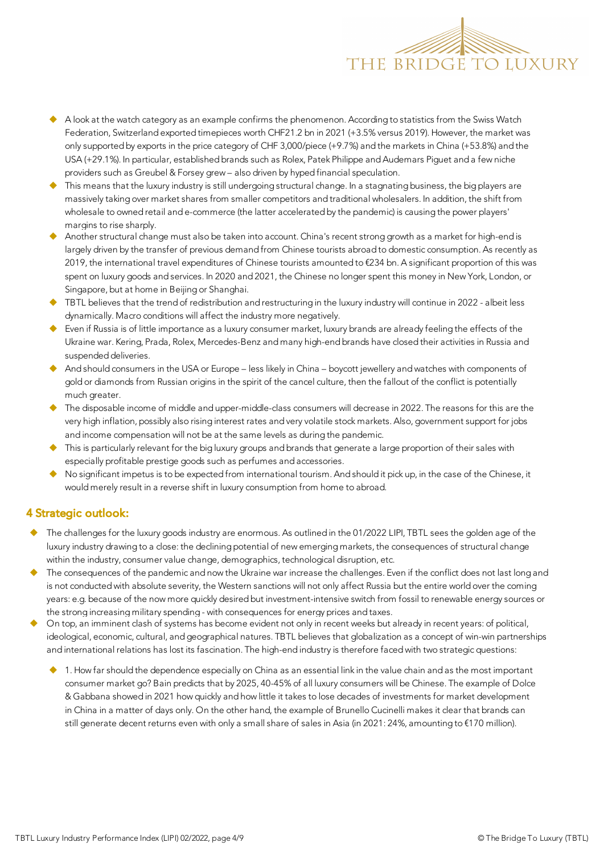

- $\blacklozenge$ A look at the watch category as an example confirms the phenomenon. According to statistics from the Swiss Watch Federation, Switzerland exported timepieces worth CHF21.2 bn in 2021 (+3.5% versus 2019). However, the market was only supported by exports in the price category of CHF 3,000/piece (+9.7%) and the markets in China (+53.8%) and the USA (+29.1%). In particular, established brands such as Rolex, Patek Philippe and Audemars Piguet and a few niche providers such as Greubel & Forsey grew – also driven by hyped financial speculation.
- $\blacklozenge$ This means that the luxury industry is still undergoing structural change. In a stagnating business, the big players are massively taking over market shares from smaller competitors and traditional wholesalers. In addition, the shift from wholesale to owned retail and e-commerce (the latter accelerated by the pandemic) is causing the power players' margins to rise sharply.
- $\blacklozenge$ Another structural change must also be taken into account. China's recent strong growth as a market for high-end is largely driven by the transfer of previous demand from Chinese tourists abroad to domestic consumption. As recently as 2019, the international travel expenditures of Chinese tourists amounted to €234 bn. A significant proportion of this was spent on luxury goods and services. In 2020 and 2021, the Chinese no longer spent this money in New York, London, or Singapore, but at home in Beijing or Shanghai.
- $\blacklozenge$ TBTL believes that the trend of redistribution and restructuring in the luxury industry will continue in 2022 - albeit less dynamically. Macro conditions will affect the industry more negatively.
- $\blacklozenge$ Even if Russia is of little importance as a luxury consumer market, luxury brands are already feeling the effects of the Ukraine war. Kering, Prada, Rolex, Mercedes-Benz and many high-end brands have closed their activities in Russia and suspended deliveries.
- $\blacklozenge$ And should consumers in the USA or Europe – less likely in China – boycott jewellery and watches with components of gold or diamonds from Russian origins in the spirit of the cancel culture, then the fallout of the conflict is potentially much greater.
- $\blacklozenge$ The disposable income of middle and upper-middle-class consumers will decrease in 2022. The reasons for this are the very high inflation, possibly also rising interest rates and very volatile stock markets. Also, government support for jobs and income compensation will not be at the same levels as during the pandemic.
- $\blacklozenge$ This is particularly relevant for the big luxury groups and brands that generate a large proportion of their sales with especially profitable prestige goods such as perfumes and accessories.
- ◆ No significant impetus is to be expected from international tourism. And should it pick up, in the case of the Chinese, it would merely result in a reverse shift in luxury consumption from home to abroad.

## 4 Strategic outlook:

- $\blacklozenge$ The challenges for the luxury goods industry are enormous. As outlined in the 01/2022 LIPI, TBTL sees the golden age of the luxury industry drawing to a close: the declining potential of new emerging markets, the consequences of structural change within the industry, consumer value change, demographics, technological disruption, etc.
- $\blacklozenge$ The consequences of the pandemic and now the Ukraine war increase the challenges. Even if the conflict does not last long and is not conducted with absolute severity, the Western sanctions will not only affect Russia but the entire world over the coming years: e.g. because of the now more quickly desired but investment-intensive switch from fossil to renewable energy sources or the strong increasing military spending - with consequences for energy prices and taxes.
- $\blacklozenge$ On top, an imminent clash of systems has become evident not only in recent weeks but already in recent years: of political, ideological, economic, cultural, and geographical natures. TBTL believes that globalization as a concept of win-win partnerships and international relations has lost its fascination. The high-end industry is therefore faced with two strategic questions:
	- $\blacklozenge$ 1. How far should the dependence especially on China as an essential link in the value chain and as the most important consumer market go? Bain predicts that by 2025, 40-45% of all luxury consumers will be Chinese. The example of Dolce & Gabbana showed in 2021 how quickly and how little it takes to lose decades of investments for market development in China in a matter of days only. On the other hand, the example of Brunello Cucinelli makes it clear that brands can still generate decent returns even with only a small share of sales in Asia (in 2021: 24%, amounting to €170 million).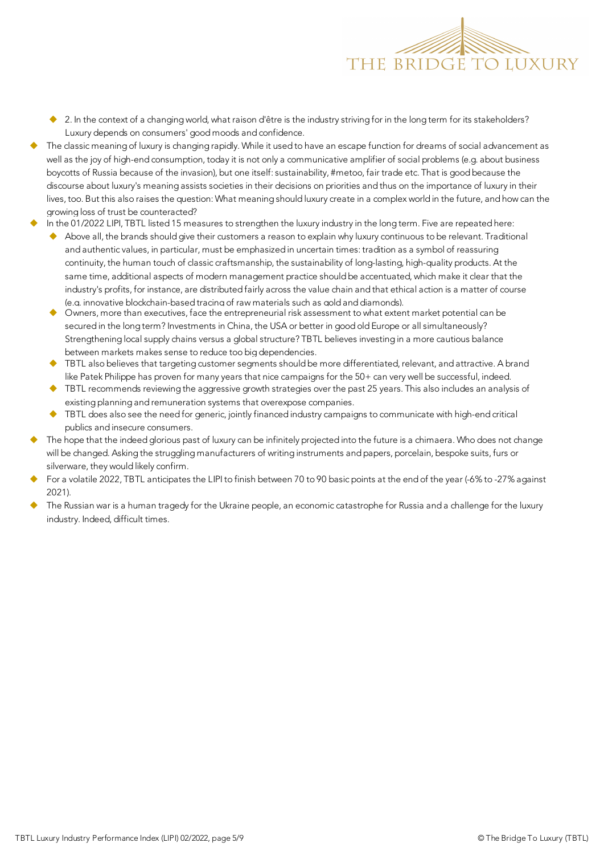

- ◆ 2. In the context of a changing world, what raison d'être is the industry striving for in the long term for its stakeholders? Luxury depends on consumers' good moods and confidence.
- $\blacklozenge$ The classic meaning of luxury is changing rapidly. While it used to have an escape function for dreams of social advancement as well as the joy of high-end consumption, today it is not only a communicative amplifier of social problems (e.g. about business boycotts of Russia because of the invasion), but one itself: sustainability, #metoo, fair trade etc. That is good because the discourse about luxury's meaning assists societies in their decisions on priorities and thus on the importance of luxury in their lives, too. But this also raises the question: What meaning should luxury create in a complex world in the future, and how can the growing loss of trust be counteracted?
- $\blacklozenge$ In the 01/2022 LIPI, TBTL listed 15 measures to strengthen the luxury industry in the long term. Five are repeated here:
	- $\blacklozenge$ Above all, the brands should give their customers a reason to explain why luxury continuous to be relevant. Traditional and authentic values, in particular, must be emphasized in uncertain times: tradition as a symbol of reassuring continuity, the human touch of classic craftsmanship, the sustainability of long-lasting, high-quality products. At the same time, additional aspects of modern management practice should be accentuated, which make it clear that the industry's profits, for instance, are distributed fairly across the value chain and that ethical action is a matter of course (e.g. innovative blockchain-based tracing of raw materials such as gold and diamonds).
	- $\blacklozenge$ Owners, more than executives, face the entrepreneurial risk assessment to what extent market potential can be secured in the long term? Investments in China, the USA or better in good old Europe or all simultaneously? Strengthening local supply chains versus a global structure? TBTL believes investing in a more cautious balance between markets makes sense to reduce too big dependencies.
	- $\blacklozenge$ TBTL also believes that targeting customer segments should be more differentiated, relevant, and attractive. A brand like Patek Philippe has proven for many years that nice campaigns for the 50+ can very well be successful, indeed.
	- $\blacklozenge$ TBTL recommends reviewing the aggressive growth strategies over the past 25 years. This also includes an analysis of existing planning and remuneration systems that overexpose companies.
	- $\blacklozenge$  TBTL does also see the need for generic, jointly financed industry campaigns to communicate with high-end critical publics and insecure consumers.
- $\blacklozenge$ The hope that the indeed glorious past of luxury can be infinitely projected into the future is a chimaera. Who does not change will be changed. Asking the struggling manufacturers of writing instruments and papers, porcelain, bespoke suits, furs or silverware, they would likely confirm.
- $\blacklozenge$ For a volatile 2022, TBTL anticipates the LIPI to finish between 70 to 90 basic points at the end of the year (-6% to -27% against 2021).
- The Russian war is a human tragedy for the Ukraine people, an economic catastrophe for Russia and a challenge for the luxury industry. Indeed, difficult times.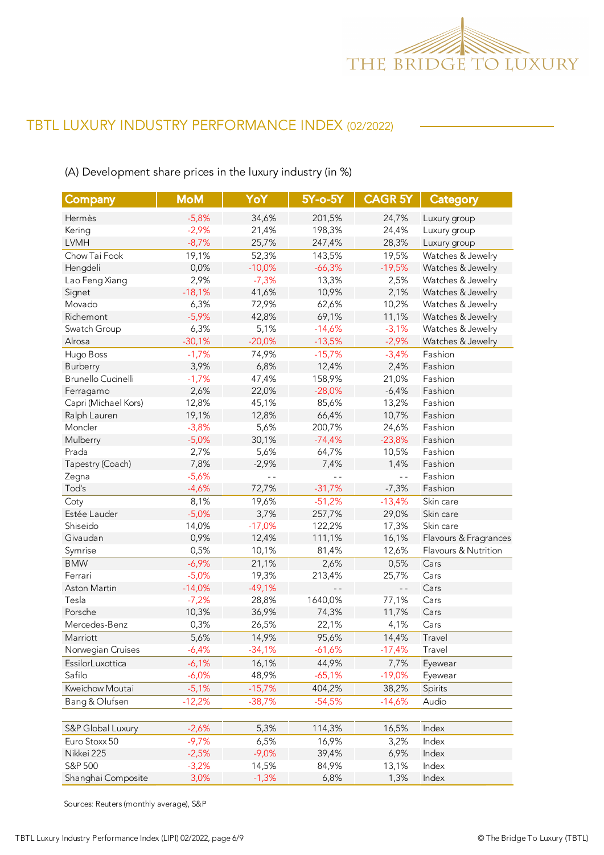

## (A) Development share prices in the luxury industry (in %)

| <b>Company</b>            | <b>MoM</b> | YoY      | $5Y$ -o- $5Y$  | <b>CAGR 5Y</b> | Category              |
|---------------------------|------------|----------|----------------|----------------|-----------------------|
| Hermès                    | $-5,8%$    | 34,6%    | 201,5%         | 24,7%          | Luxury group          |
| Kering                    | $-2,9%$    | 21,4%    | 198,3%         | 24,4%          | Luxury group          |
| <b>LVMH</b>               | $-8,7%$    | 25,7%    | 247,4%         | 28,3%          | Luxury group          |
| Chow Tai Fook             | 19,1%      | 52,3%    | 143,5%         | 19,5%          | Watches & Jewelry     |
| Hengdeli                  | 0,0%       | $-10,0%$ | $-66,3%$       | $-19,5%$       | Watches & Jewelry     |
| Lao Feng Xiang            | 2,9%       | $-7,3%$  | 13,3%          | 2,5%           | Watches & Jewelry     |
| Signet                    | $-18,1%$   | 41,6%    | 10,9%          | 2,1%           | Watches & Jewelry     |
| Movado                    | 6,3%       | 72,9%    | 62,6%          | 10,2%          | Watches & Jewelry     |
| Richemont                 | $-5,9%$    | 42,8%    | 69,1%          | 11,1%          | Watches & Jewelry     |
| Swatch Group              | 6,3%       | 5,1%     | $-14,6%$       | $-3,1%$        | Watches & Jewelry     |
| Alrosa                    | $-30,1%$   | $-20,0%$ | $-13,5%$       | $-2,9%$        | Watches & Jewelry     |
| Hugo Boss                 | $-1,7%$    | 74,9%    | $-15,7%$       | $-3,4%$        | Fashion               |
| Burberry                  | 3,9%       | 6,8%     | 12,4%          | 2,4%           | Fashion               |
| <b>Brunello Cucinelli</b> | $-1,7%$    | 47,4%    | 158,9%         | 21,0%          | Fashion               |
| Ferragamo                 | 2,6%       | 22,0%    | $-28,0%$       | $-6,4%$        | Fashion               |
| Capri (Michael Kors)      | 12,8%      | 45,1%    | 85,6%          | 13,2%          | Fashion               |
| Ralph Lauren              | 19,1%      | 12,8%    | 66,4%          | 10,7%          | Fashion               |
| Moncler                   | $-3,8%$    | 5,6%     | 200,7%         | 24,6%          | Fashion               |
| Mulberry                  | $-5,0%$    | 30,1%    | $-74,4%$       | $-23,8%$       | Fashion               |
| Prada                     | 2,7%       | 5,6%     | 64,7%          | 10,5%          | Fashion               |
| Tapestry (Coach)          | 7,8%       | $-2,9%$  | 7,4%           | 1,4%           | Fashion               |
| Zegna                     | $-5,6%$    |          |                | $\overline{a}$ | Fashion               |
| Tod's                     | $-4,6%$    | 72,7%    | $-31,7%$       | $-7,3%$        | Fashion               |
| Coty                      | 8,1%       | 19,6%    | $-51,2%$       | $-13,4%$       | Skin care             |
| Estée Lauder              | $-5,0%$    | 3,7%     | 257,7%         | 29,0%          | Skin care             |
| Shiseido                  | 14,0%      | $-17,0%$ | 122,2%         | 17,3%          | Skin care             |
| Givaudan                  | 0,9%       | 12,4%    | 111,1%         | 16,1%          | Flavours & Fragrances |
| Symrise                   | 0,5%       | 10,1%    | 81,4%          | 12,6%          | Flavours & Nutrition  |
| <b>BMW</b>                | $-6,9%$    | 21,1%    | 2,6%           | 0,5%           | Cars                  |
| Ferrari                   | $-5,0%$    | 19,3%    | 213,4%         | 25,7%          | Cars                  |
| Aston Martin              | $-14,0%$   | $-49,1%$ | $\overline{a}$ | $ -$           | Cars                  |
| Tesla                     | $-7,2%$    | 28,8%    | 1640,0%        | 77,1%          | Cars                  |
| Porsche                   | 10,3%      | 36,9%    | 74,3%          | 11,7%          | Cars                  |
| Mercedes-Benz             | 0,3%       | 26,5%    | 22,1%          | 4,1%           | Cars                  |
| Marriott                  | 5,6%       | 14,9%    | 95,6%          | 14,4%          | Travel                |
| Norwegian Cruises         | $-6,4%$    | $-34,1%$ | $-61,6%$       | $-17,4%$       | Travel                |
| EssilorLuxottica          | $-6,1%$    | 16,1%    | 44,9%          | 7,7%           | Eyewear               |
| Safilo                    | $-6,0%$    | 48,9%    | $-65,1%$       | $-19,0%$       | Eyewear               |
| Kweichow Moutai           | $-5,1%$    | $-15,7%$ | 404,2%         | 38,2%          | Spirits               |
| Bang & Olufsen            | $-12,2%$   | $-38,7%$ | $-54,5%$       | $-14,6%$       | Audio                 |
|                           |            |          |                |                |                       |
| S&P Global Luxury         | $-2,6%$    | 5,3%     | 114,3%         | 16,5%          | Index                 |
| Euro Stoxx 50             | $-9,7%$    | 6,5%     | 16,9%          | 3,2%           | Index                 |
| Nikkei 225                | $-2,5%$    | $-9,0%$  | 39,4%          | 6,9%           | Index                 |
| S&P 500                   | $-3,2%$    | 14,5%    | 84,9%          | 13,1%          | Index                 |
| Shanghai Composite        | 3,0%       | $-1,3%$  | 6,8%           | 1,3%           | Index                 |

Sources: Reuters (monthly average), S&P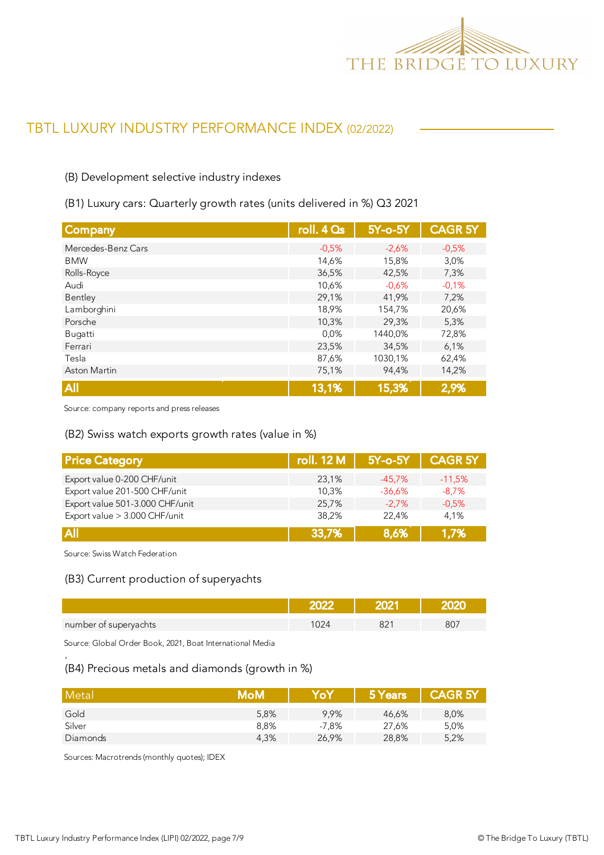

#### (B) Development selective industry indexes

#### (B1) Luxury cars: Quarterly growth rates (units delivered in %) Q3 2021

| Company            | roll. 4 Qs | 5Y-o-5Y | <b>CAGR 5Y</b> |
|--------------------|------------|---------|----------------|
| Mercedes-Benz Cars | $-0.5%$    | $-2,6%$ | $-0,5%$        |
| <b>BMW</b>         | 14,6%      | 15,8%   | 3,0%           |
| Rolls-Royce        | 36,5%      | 42,5%   | 7,3%           |
| Audi               | 10,6%      | $-0.6%$ | $-0,1%$        |
| Bentley            | 29,1%      | 41,9%   | 7,2%           |
| Lamborghini        | 18,9%      | 154,7%  | 20,6%          |
| Porsche            | 10,3%      | 29,3%   | 5,3%           |
| Bugatti            | 0,0%       | 1440,0% | 72,8%          |
| Ferrari            | 23,5%      | 34,5%   | 6,1%           |
| Tesla              | 87,6%      | 1030,1% | 62,4%          |
| Aston Martin       | 75,1%      | 94,4%   | 14,2%          |
| All                | 13,1%      | 15,3%   | 2,9%           |

Source: company reports and press releases

(B2) Swiss watch exports growth rates (value in %)

| <b>Price Category</b>           | roll. 12 M | $5Y$ -o- $5Y$ | <b>CAGR 5Y</b> |
|---------------------------------|------------|---------------|----------------|
| Export value 0-200 CHF/unit     | 23.1%      | $-45.7%$      | $-11,5%$       |
| Export value 201-500 CHF/unit   | 10.3%      | $-36.6%$      | $-8.7%$        |
| Export value 501-3.000 CHF/unit | 25.7%      | $-2.7%$       | $-0.5%$        |
| Export value > 3.000 CHF/unit   | 38.2%      | 22.4%         | 4.1%           |
| <b>All</b>                      | 33,7%      | 8.6%          | 1,7%           |

Source: Swiss Watch Federation

'

#### (B3) Current production of superyachts

| number of superyachts |  |  |
|-----------------------|--|--|

Source: Global Order Book, 2021, Boat International Media

## (B4) Precious metals and diamonds (growth in %)

| Metal    | МоМ  | YoY     | 5 Years | <b>CAGR 5Y</b> |
|----------|------|---------|---------|----------------|
| Gold     | 5,8% | 9.9%    | 46.6%   | 8,0%           |
| Silver   | 8.8% | $-7.8%$ | 27,6%   | 5,0%           |
| Diamonds | 4,3% | 26,9%   | 28,8%   | 5,2%           |

Sources: Macrotrends (monthly quotes); IDEX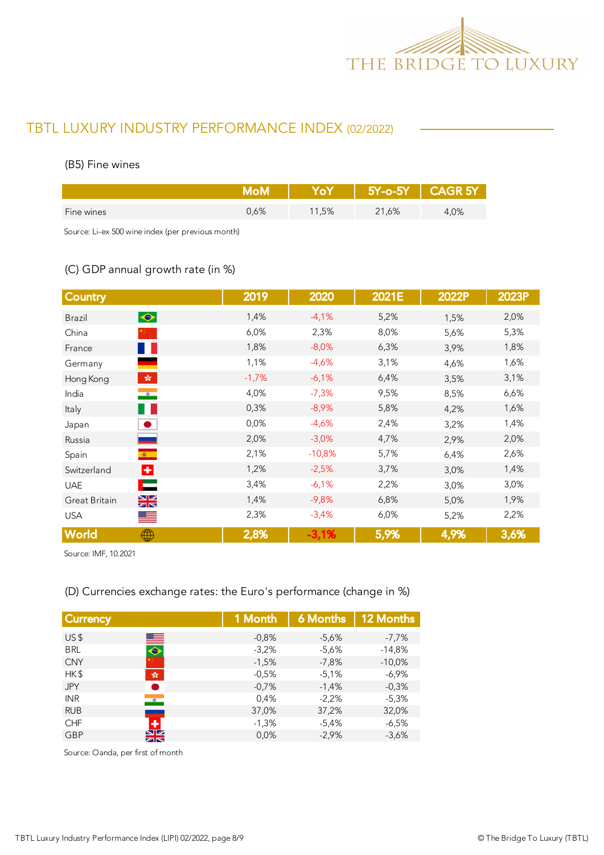

### (B5) Fine wines

|            |      |       | 5Y-0-5Y | <b>CAGR 5Y</b> |
|------------|------|-------|---------|----------------|
| Fine wines | 0,6% | 11,5% | 21,6%   | .0%            |

Source: Li-ex 500 wine index (per previous month)

## (C) GDP annual growth rate (in %)

| <b>Country</b>                               | 2019    | 2020     | 2021E | 2022P | 2023P |
|----------------------------------------------|---------|----------|-------|-------|-------|
| $\bullet$<br><b>Brazil</b>                   | 1,4%    | $-4,1%$  | 5,2%  | 1,5%  | 2,0%  |
| China                                        | 6,0%    | 2,3%     | 8,0%  | 5,6%  | 5,3%  |
| a pr<br>France                               | 1,8%    | $-8,0%$  | 6,3%  | 3,9%  | 1,8%  |
| Germany                                      | 1,1%    | $-4,6%$  | 3,1%  | 4,6%  | 1,6%  |
| $\frac{\sqrt{3}}{2\sqrt{3}}$<br>Hong Kong    | $-1,7%$ | $-6,1%$  | 6,4%  | 3,5%  | 3,1%  |
| $\bullet$<br>India                           | 4,0%    | $-7,3%$  | 9,5%  | 8,5%  | 6,6%  |
| Italy<br>. .                                 | 0,3%    | $-8,9%$  | 5,8%  | 4,2%  | 1,6%  |
| Japan<br>$\bullet$                           | 0,0%    | $-4,6%$  | 2,4%  | 3,2%  | 1,4%  |
| Russia                                       | 2,0%    | $-3,0%$  | 4,7%  | 2,9%  | 2,0%  |
| $\langle \Phi \rangle$ .<br>Spain            | 2,1%    | $-10,8%$ | 5,7%  | 6,4%  | 2,6%  |
| Ŀ.<br>Switzerland                            | 1,2%    | $-2,5%$  | 3,7%  | 3,0%  | 1,4%  |
| Е<br><b>UAE</b>                              | 3,4%    | $-6,1%$  | 2,2%  | 3,0%  | 3,0%  |
| $\frac{\text{N}}{\text{N}}$<br>Great Britain | 1,4%    | $-9,8%$  | 6,8%  | 5,0%  | 1,9%  |
| <b>USA</b><br>▀                              | 2,3%    | $-3,4%$  | 6,0%  | 5,2%  | 2,2%  |
| World<br>⊕                                   | 2,8%    | $-3,1%$  | 5,9%  | 4,9%  | 3,6%  |

Source: IMF, 10.2021

## (D) Currencies exchange rates: the Euro's performance (change in %)

| <b>Currency</b> |                              | 1 Month | <b>6 Months</b> | <b>12 Months</b> |
|-----------------|------------------------------|---------|-----------------|------------------|
| US <sub>5</sub> |                              | $-0.8%$ | $-5,6%$         | $-7,7%$          |
| <b>BRL</b>      | $\blacksquare$               | $-3,2%$ | $-5.6%$         | $-14,8%$         |
| <b>CNY</b>      |                              | $-1,5%$ | $-7,8%$         | $-10,0%$         |
| HK\$            | $\frac{\sqrt{3}}{2\sqrt{3}}$ | $-0.5%$ | $-5,1%$         | $-6,9%$          |
| <b>JPY</b>      | ●                            | $-0.7%$ | $-1,4%$         | $-0.3%$          |
| <b>INR</b>      | $\bullet$                    | 0,4%    | $-2,2%$         | $-5,3%$          |
| <b>RUB</b>      |                              | 37,0%   | 37,2%           | 32,0%            |
| <b>CHF</b>      | Ф                            | $-1,3%$ | $-5,4%$         | $-6.5%$          |
| <b>GBP</b>      | $\frac{N}{N}$                | 0,0%    | $-2,9%$         | $-3,6%$          |

Source: Oanda, per first of month